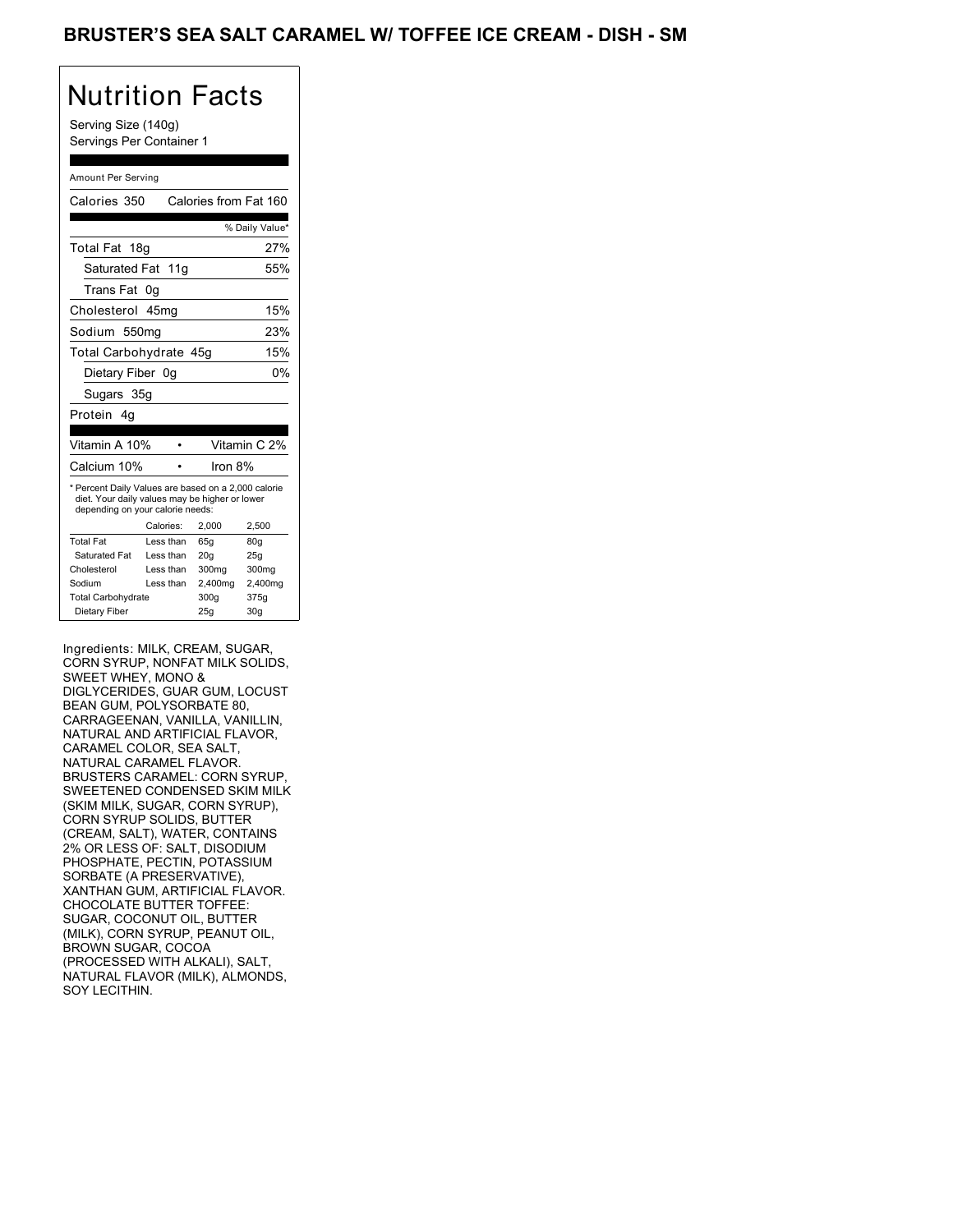## Nutrition Facts

Serving Size (140g) Servings Per Container 1

#### Amount Per Serving

| Calories 350                                                                                                                              |           | Calories from Fat 160 |                |
|-------------------------------------------------------------------------------------------------------------------------------------------|-----------|-----------------------|----------------|
|                                                                                                                                           |           |                       | % Daily Value* |
| Total Fat 18g                                                                                                                             |           |                       | 27%            |
| Saturated Fat 11g                                                                                                                         |           |                       | 55%            |
| Trans Fat                                                                                                                                 | 0g        |                       |                |
| Cholesterol                                                                                                                               | 45mq      |                       | 15%            |
| Sodium 550mg                                                                                                                              |           |                       | 23%            |
| Total Carbohydrate 45g                                                                                                                    |           |                       | 15%            |
| Dietary Fiber 0g                                                                                                                          |           |                       | 0%             |
| Sugars 35g                                                                                                                                |           |                       |                |
| Protein<br>4a                                                                                                                             |           |                       |                |
| Vitamin A 10%                                                                                                                             |           |                       | Vitamin C 2%   |
| Calcium 10%                                                                                                                               |           | Iron 8%               |                |
| * Percent Daily Values are based on a 2,000 calorie<br>diet. Your daily values may be higher or lower<br>depending on your calorie needs: |           |                       |                |
|                                                                                                                                           | Calories: | 2.000                 | 2.500          |
| <b>Total Fat</b>                                                                                                                          | Less than | 65q                   | 80q            |
| Saturated Fat                                                                                                                             | Less than | 20 <sub>g</sub>       | 25g            |
| Cholesterol                                                                                                                               | Less than | 300mg                 | 300mg          |
| Sodium                                                                                                                                    | Less than | 2,400mg               | 2,400mg        |
| <b>Total Carbohydrate</b>                                                                                                                 |           | 300g                  | 375g           |
| Dietary Fiber                                                                                                                             |           | 25q                   | 30q            |

Ingredients: MILK, CREAM, SUGAR, CORN SYRUP, NONFAT MILK SOLIDS, SWEET WHEY, MONO & DIGLYCERIDES, GUAR GUM, LOCUST BEAN GUM, POLYSORBATE 80, CARRAGEENAN, VANILLA, VANILLIN, NATURAL AND ARTIFICIAL FLAVOR, CARAMEL COLOR, SEA SALT, NATURAL CARAMEL FLAVOR. BRUSTERS CARAMEL: CORN SYRUP, SWEETENED CONDENSED SKIM MILK (SKIM MILK, SUGAR, CORN SYRUP), CORN SYRUP SOLIDS, BUTTER (CREAM, SALT), WATER, CONTAINS 2% OR LESS OF: SALT, DISODIUM PHOSPHATE, PECTIN, POTASSIUM SORBATE (A PRESERVATIVE), XANTHAN GUM, ARTIFICIAL FLAVOR. CHOCOLATE BUTTER TOFFEE: SUGAR, COCONUT OIL, BUTTER (MILK), CORN SYRUP, PEANUT OIL, BROWN SUGAR, COCOA (PROCESSED WITH ALKALI), SALT, NATURAL FLAVOR (MILK), ALMONDS, SOY LECITHIN.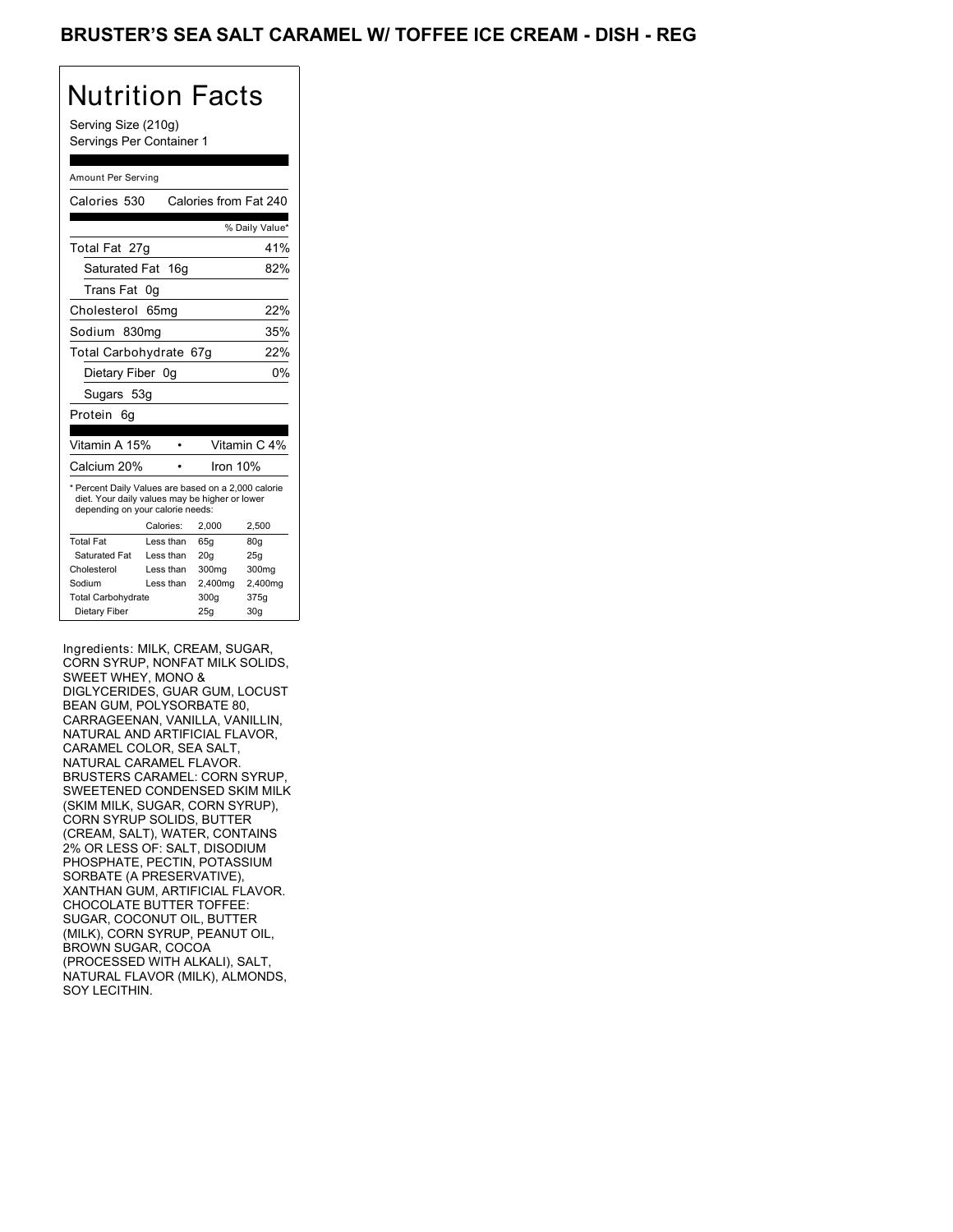#### BRUSTER'S SEA SALT CARAMEL W/ TOFFEE ICE CREAM - DISH - REG

# Nutrition Facts

Serving Size (210g) Servings Per Container 1

#### Amount Per Serving

| Calories 530                                                                                                                              |           | Calories from Fat 240 |                |
|-------------------------------------------------------------------------------------------------------------------------------------------|-----------|-----------------------|----------------|
|                                                                                                                                           |           |                       | % Daily Value* |
| Total Fat 27g                                                                                                                             |           |                       | 41%            |
| Saturated Fat 16g                                                                                                                         |           |                       | 82%            |
| Trans Fat                                                                                                                                 | 0g        |                       |                |
| Cholesterol                                                                                                                               | 65mg      |                       | 22%            |
| Sodium 830mg                                                                                                                              |           |                       | 35%            |
| Total Carbohydrate 67q                                                                                                                    |           |                       | 22%            |
| Dietary Fiber 0q                                                                                                                          |           |                       | 0%             |
| Sugars 53g                                                                                                                                |           |                       |                |
| Protein<br>6q                                                                                                                             |           |                       |                |
| Vitamin A 15%                                                                                                                             |           |                       | Vitamin C 4%   |
| Calcium 20%                                                                                                                               |           | Iron 10%              |                |
| * Percent Daily Values are based on a 2,000 calorie<br>diet. Your daily values may be higher or lower<br>depending on your calorie needs: |           |                       |                |
|                                                                                                                                           | Calories: | 2,000                 | 2,500          |
| <b>Total Fat</b>                                                                                                                          | Less than | 65q                   | 80g            |
| Saturated Fat                                                                                                                             | Less than | 20q                   | 25q            |
| Cholesterol                                                                                                                               | Less than | 300mg                 | 300mg          |
| Sodium                                                                                                                                    | Less than | 2,400mg               | 2,400mg        |
| <b>Total Carbohydrate</b>                                                                                                                 |           | 300g                  | 375g           |
| Dietary Fiber                                                                                                                             |           | 25q                   | 30q            |

Ingredients: MILK, CREAM, SUGAR, CORN SYRUP, NONFAT MILK SOLIDS, SWEET WHEY, MONO & DIGLYCERIDES, GUAR GUM, LOCUST BEAN GUM, POLYSORBATE 80, CARRAGEENAN, VANILLA, VANILLIN, NATURAL AND ARTIFICIAL FLAVOR, CARAMEL COLOR, SEA SALT, NATURAL CARAMEL FLAVOR. BRUSTERS CARAMEL: CORN SYRUP, SWEETENED CONDENSED SKIM MILK (SKIM MILK, SUGAR, CORN SYRUP), CORN SYRUP SOLIDS, BUTTER (CREAM, SALT), WATER, CONTAINS 2% OR LESS OF: SALT, DISODIUM PHOSPHATE, PECTIN, POTASSIUM SORBATE (A PRESERVATIVE), XANTHAN GUM, ARTIFICIAL FLAVOR. CHOCOLATE BUTTER TOFFEE: SUGAR, COCONUT OIL, BUTTER (MILK), CORN SYRUP, PEANUT OIL, BROWN SUGAR, COCOA (PROCESSED WITH ALKALI), SALT, NATURAL FLAVOR (MILK), ALMONDS, SOY LECITHIN.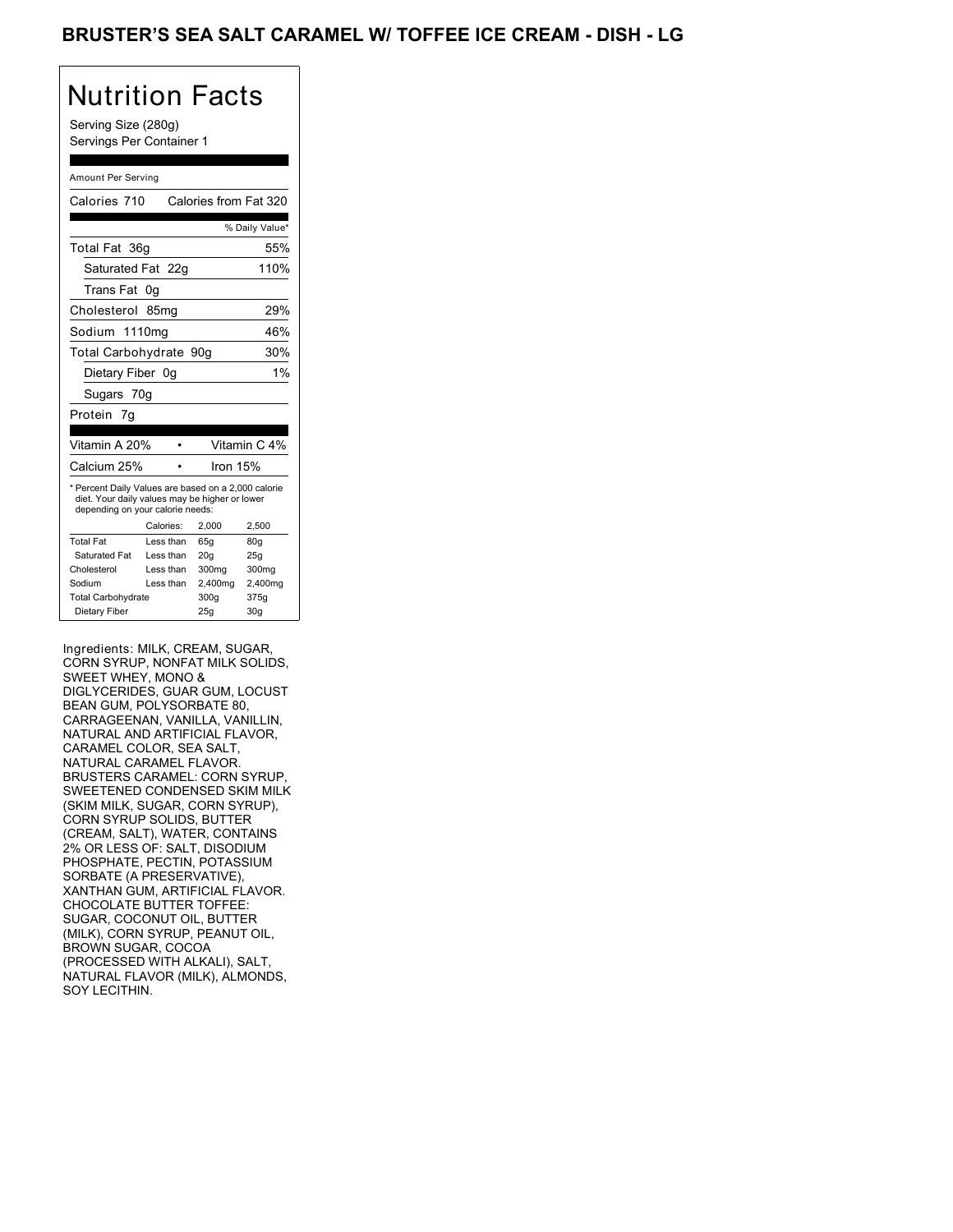# Nutrition Facts

Serving Size (280g) Servings Per Container 1

#### Amount Per Serving

| Calories 710                                                                                                                              |                  | Calories from Fat 320 |                 |
|-------------------------------------------------------------------------------------------------------------------------------------------|------------------|-----------------------|-----------------|
|                                                                                                                                           |                  |                       | % Daily Value*  |
| Total Fat 36g                                                                                                                             |                  |                       | 55%             |
| Saturated Fat 22g                                                                                                                         |                  |                       | 110%            |
| Trans Fat                                                                                                                                 | 0q               |                       |                 |
| Cholesterol                                                                                                                               | 85 <sub>mq</sub> |                       | 29%             |
| Sodium 1110mg                                                                                                                             |                  |                       | 46%             |
| Total Carbohydrate 90g                                                                                                                    |                  |                       | 30%             |
| Dietary Fiber 0q                                                                                                                          |                  |                       | 1%              |
| Sugars 70g                                                                                                                                |                  |                       |                 |
| Protein 7g                                                                                                                                |                  |                       |                 |
| Vitamin A 20%                                                                                                                             |                  |                       | Vitamin C 4%    |
| Calcium 25%                                                                                                                               |                  | Iron 15%              |                 |
| * Percent Daily Values are based on a 2,000 calorie<br>diet. Your daily values may be higher or lower<br>depending on your calorie needs: |                  |                       |                 |
|                                                                                                                                           | Calories:        | 2,000                 | 2,500           |
| <b>Total Fat</b>                                                                                                                          | Less than        | 65q                   | 80 <sub>g</sub> |
| Saturated Fat                                                                                                                             | Less than        | 20q                   | 25q             |
| Cholesterol                                                                                                                               | Less than        | 300mg                 | 300mg           |
| Sodium                                                                                                                                    | Less than        | 2,400mg               | 2,400mg         |
|                                                                                                                                           |                  |                       |                 |
| <b>Total Carbohydrate</b>                                                                                                                 |                  | 300g                  | 375g            |

Ingredients: MILK, CREAM, SUGAR, CORN SYRUP, NONFAT MILK SOLIDS, SWEET WHEY, MONO & DIGLYCERIDES, GUAR GUM, LOCUST BEAN GUM, POLYSORBATE 80, CARRAGEENAN, VANILLA, VANILLIN, NATURAL AND ARTIFICIAL FLAVOR, CARAMEL COLOR, SEA SALT, NATURAL CARAMEL FLAVOR. BRUSTERS CARAMEL: CORN SYRUP, SWEETENED CONDENSED SKIM MILK (SKIM MILK, SUGAR, CORN SYRUP), CORN SYRUP SOLIDS, BUTTER (CREAM, SALT), WATER, CONTAINS 2% OR LESS OF: SALT, DISODIUM PHOSPHATE, PECTIN, POTASSIUM SORBATE (A PRESERVATIVE), XANTHAN GUM, ARTIFICIAL FLAVOR. CHOCOLATE BUTTER TOFFEE: SUGAR, COCONUT OIL, BUTTER (MILK), CORN SYRUP, PEANUT OIL, BROWN SUGAR, COCOA (PROCESSED WITH ALKALI), SALT, NATURAL FLAVOR (MILK), ALMONDS, SOY LECITHIN.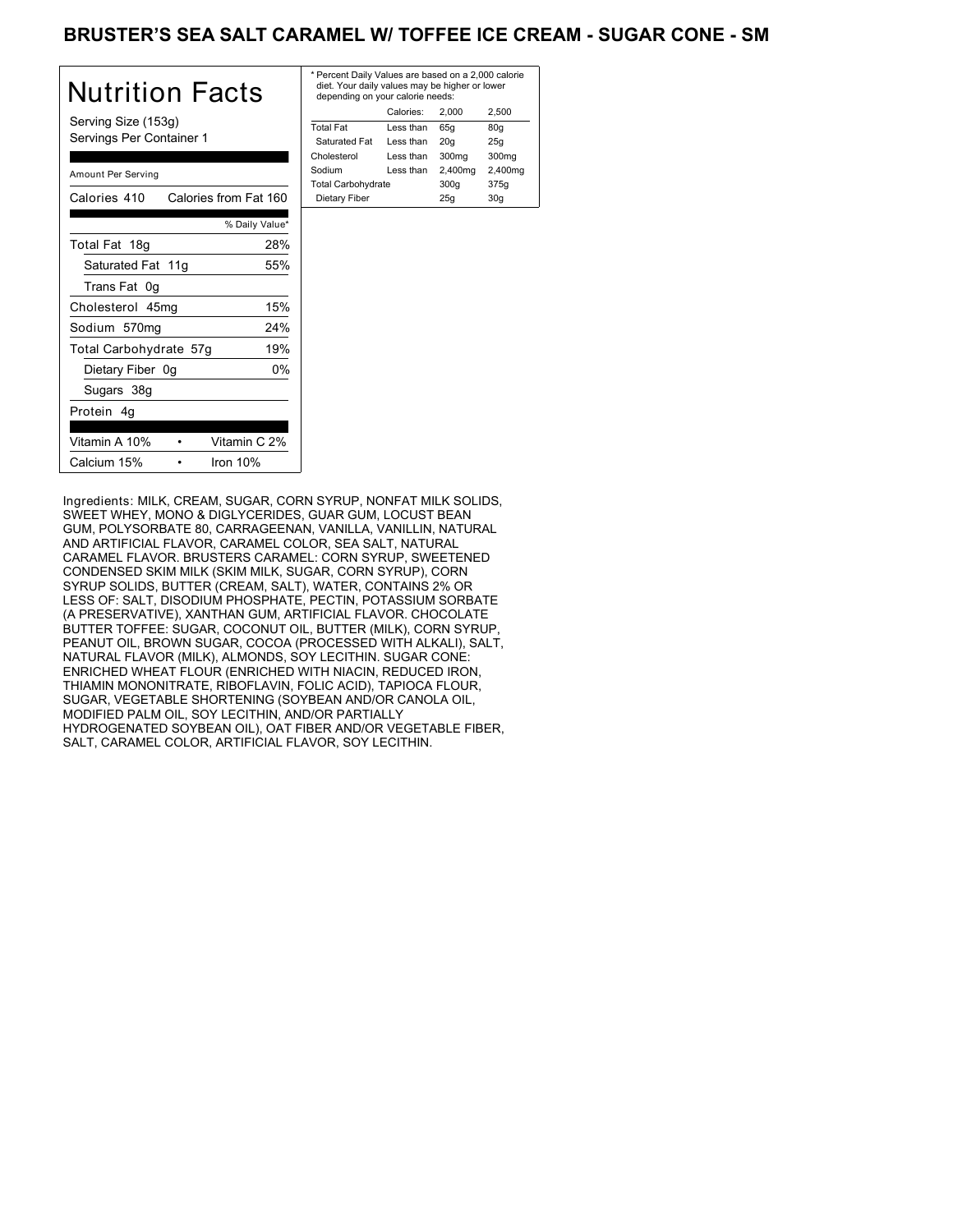### BRUSTER'S SEA SALT CARAMEL W/ TOFFEE ICE CREAM - SUGAR CONE - SM

| Nutrition Facts                                 | * P<br>di<br>d |
|-------------------------------------------------|----------------|
| Serving Size (153g)<br>Servings Per Container 1 | Tot<br>S<br>Ch |
| Amount Per Serving                              | So<br>Tot      |
| Calories from Fat 160<br>Calories 410           | D              |
| % Daily Value*                                  |                |
| 28%<br>Total Fat 18g                            |                |
| Saturated Fat 11g<br>55%                        |                |
| Trans Fat 0g                                    |                |
| 15%<br>Cholesterol 45mg                         |                |
| 24%<br>Sodium 570mg                             |                |
| 19%<br>Total Carbohydrate 57g                   |                |
| 0%<br>Dietary Fiber 0g                          |                |
| Sugars 38g                                      |                |
| Protein 4q                                      |                |
| Vitamin A 10%<br>Vitamin C 2%                   |                |
| Calcium 15%<br>Iron $10%$                       |                |

| * Percent Daily Values are based on a 2,000 calorie<br>diet. Your daily values may be higher or lower<br>depending on your calorie needs: |         |             |  |  |
|-------------------------------------------------------------------------------------------------------------------------------------------|---------|-------------|--|--|
| Calories:                                                                                                                                 | 2.000   | 2.500       |  |  |
| Less than                                                                                                                                 | 65q     | 80q         |  |  |
| Less than                                                                                                                                 | 20q     | 25q         |  |  |
| Less than                                                                                                                                 | 300mg   | 300mg       |  |  |
| Less than                                                                                                                                 | 2,400mg | 2,400mg     |  |  |
| <b>Total Carbohydrate</b>                                                                                                                 |         | 375g        |  |  |
| Dietary Fiber                                                                                                                             |         | 30q         |  |  |
|                                                                                                                                           |         | 300q<br>25q |  |  |

Ingredients: MILK, CREAM, SUGAR, CORN SYRUP, NONFAT MILK SOLIDS, SWEET WHEY, MONO & DIGLYCERIDES, GUAR GUM, LOCUST BEAN GUM, POLYSORBATE 80, CARRAGEENAN, VANILLA, VANILLIN, NATURAL AND ARTIFICIAL FLAVOR, CARAMEL COLOR, SEA SALT, NATURAL CARAMEL FLAVOR. BRUSTERS CARAMEL: CORN SYRUP, SWEETENED CONDENSED SKIM MILK (SKIM MILK, SUGAR, CORN SYRUP), CORN SYRUP SOLIDS, BUTTER (CREAM, SALT), WATER, CONTAINS 2% OR LESS OF: SALT, DISODIUM PHOSPHATE, PECTIN, POTASSIUM SORBATE (A PRESERVATIVE), XANTHAN GUM, ARTIFICIAL FLAVOR. CHOCOLATE BUTTER TOFFEE: SUGAR, COCONUT OIL, BUTTER (MILK), CORN SYRUP, PEANUT OIL, BROWN SUGAR, COCOA (PROCESSED WITH ALKALI), SALT, NATURAL FLAVOR (MILK), ALMONDS, SOY LECITHIN. SUGAR CONE: ENRICHED WHEAT FLOUR (ENRICHED WITH NIACIN, REDUCED IRON, THIAMIN MONONITRATE, RIBOFLAVIN, FOLIC ACID), TAPIOCA FLOUR, SUGAR, VEGETABLE SHORTENING (SOYBEAN AND/OR CANOLA OIL, MODIFIED PALM OIL, SOY LECITHIN, AND/OR PARTIALLY HYDROGENATED SOYBEAN OIL), OAT FIBER AND/OR VEGETABLE FIBER, SALT, CARAMEL COLOR, ARTIFICIAL FLAVOR, SOY LECITHIN.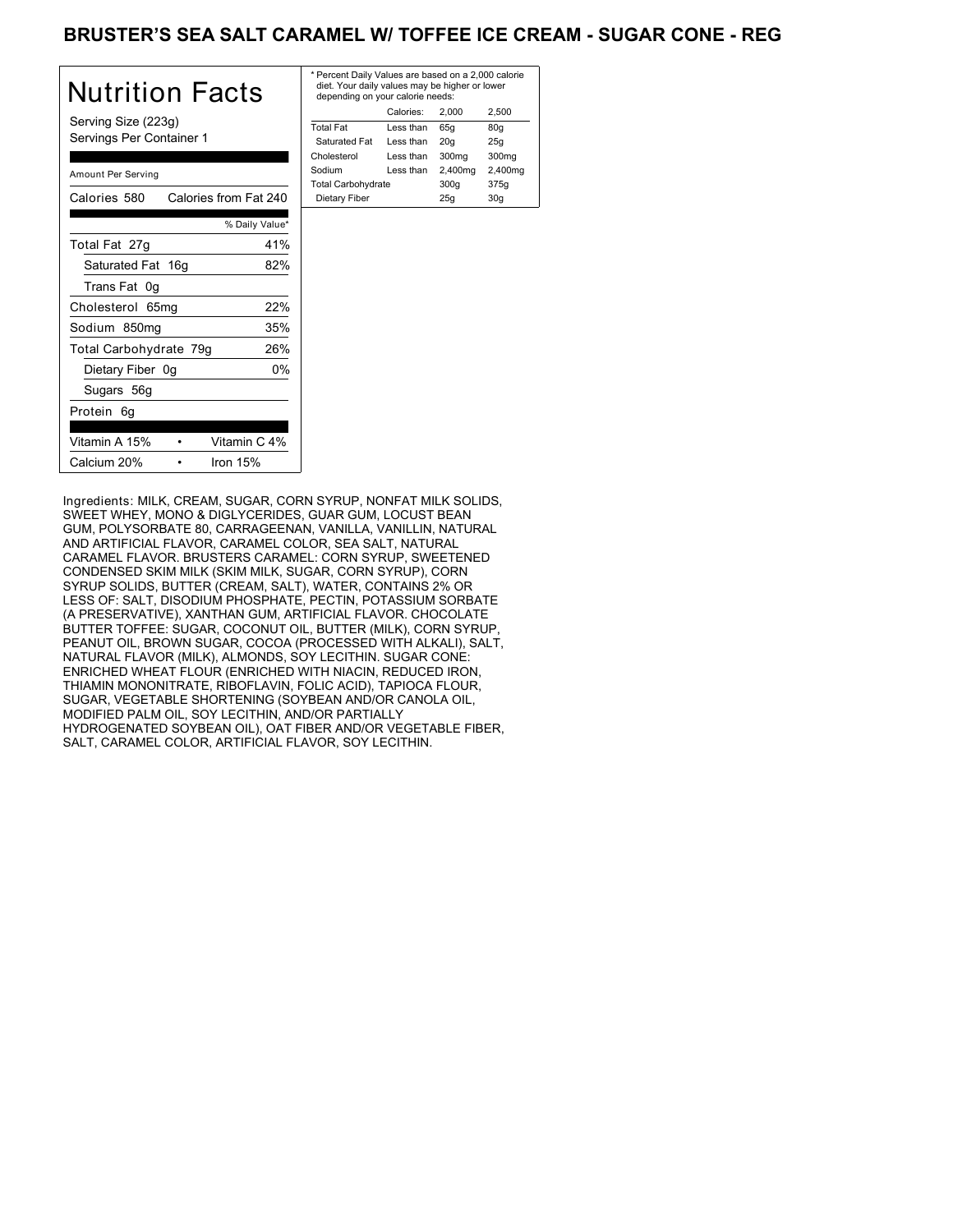### BRUSTER'S SEA SALT CARAMEL W/ TOFFEE ICE CREAM - SUGAR CONE - REG

| Nutrition Facts                                 | * P<br>di<br>d٥ |
|-------------------------------------------------|-----------------|
| Serving Size (223g)<br>Servings Per Container 1 | Tot<br>S<br>Ch  |
| Amount Per Serving                              | So<br>Tot       |
| Calories from Fat 240<br>Calories 580           | D               |
| % Daily Value*                                  |                 |
| 41%<br>Total Fat 27g                            |                 |
| 82%<br>Saturated Fat 16g                        |                 |
| Trans Fat 0g                                    |                 |
| 22%<br>Cholesterol 65mg                         |                 |
| 35%<br>Sodium 850mg                             |                 |
| 26%<br>Total Carbohydrate 79g                   |                 |
| 0%<br>Dietary Fiber 0g                          |                 |
| Sugars 56g                                      |                 |
| Protein 6g                                      |                 |
| Vitamin A 15%<br>Vitamin C 4%                   |                 |
| Calcium 20%<br>Iron $15%$                       |                 |

| * Percent Daily Values are based on a 2,000 calorie<br>diet. Your daily values may be higher or lower<br>depending on your calorie needs: |           |         |         |  |
|-------------------------------------------------------------------------------------------------------------------------------------------|-----------|---------|---------|--|
|                                                                                                                                           | Calories: | 2.000   | 2.500   |  |
| <b>Total Fat</b>                                                                                                                          | Less than | 65q     | 80q     |  |
| Saturated Fat                                                                                                                             | Less than | 20q     | 25q     |  |
| Cholesterol                                                                                                                               | Less than | 300mg   | 300mg   |  |
| Sodium                                                                                                                                    | Less than | 2,400mg | 2,400mg |  |
| <b>Total Carbohydrate</b>                                                                                                                 |           | 300q    | 375g    |  |
| Dietary Fiber                                                                                                                             |           | 25q     | 30q     |  |
|                                                                                                                                           |           |         |         |  |

Ingredients: MILK, CREAM, SUGAR, CORN SYRUP, NONFAT MILK SOLIDS, SWEET WHEY, MONO & DIGLYCERIDES, GUAR GUM, LOCUST BEAN GUM, POLYSORBATE 80, CARRAGEENAN, VANILLA, VANILLIN, NATURAL AND ARTIFICIAL FLAVOR, CARAMEL COLOR, SEA SALT, NATURAL CARAMEL FLAVOR. BRUSTERS CARAMEL: CORN SYRUP, SWEETENED CONDENSED SKIM MILK (SKIM MILK, SUGAR, CORN SYRUP), CORN SYRUP SOLIDS, BUTTER (CREAM, SALT), WATER, CONTAINS 2% OR LESS OF: SALT, DISODIUM PHOSPHATE, PECTIN, POTASSIUM SORBATE (A PRESERVATIVE), XANTHAN GUM, ARTIFICIAL FLAVOR. CHOCOLATE BUTTER TOFFEE: SUGAR, COCONUT OIL, BUTTER (MILK), CORN SYRUP, PEANUT OIL, BROWN SUGAR, COCOA (PROCESSED WITH ALKALI), SALT, NATURAL FLAVOR (MILK), ALMONDS, SOY LECITHIN. SUGAR CONE: ENRICHED WHEAT FLOUR (ENRICHED WITH NIACIN, REDUCED IRON, THIAMIN MONONITRATE, RIBOFLAVIN, FOLIC ACID), TAPIOCA FLOUR, SUGAR, VEGETABLE SHORTENING (SOYBEAN AND/OR CANOLA OIL, MODIFIED PALM OIL, SOY LECITHIN, AND/OR PARTIALLY HYDROGENATED SOYBEAN OIL), OAT FIBER AND/OR VEGETABLE FIBER, SALT, CARAMEL COLOR, ARTIFICIAL FLAVOR, SOY LECITHIN.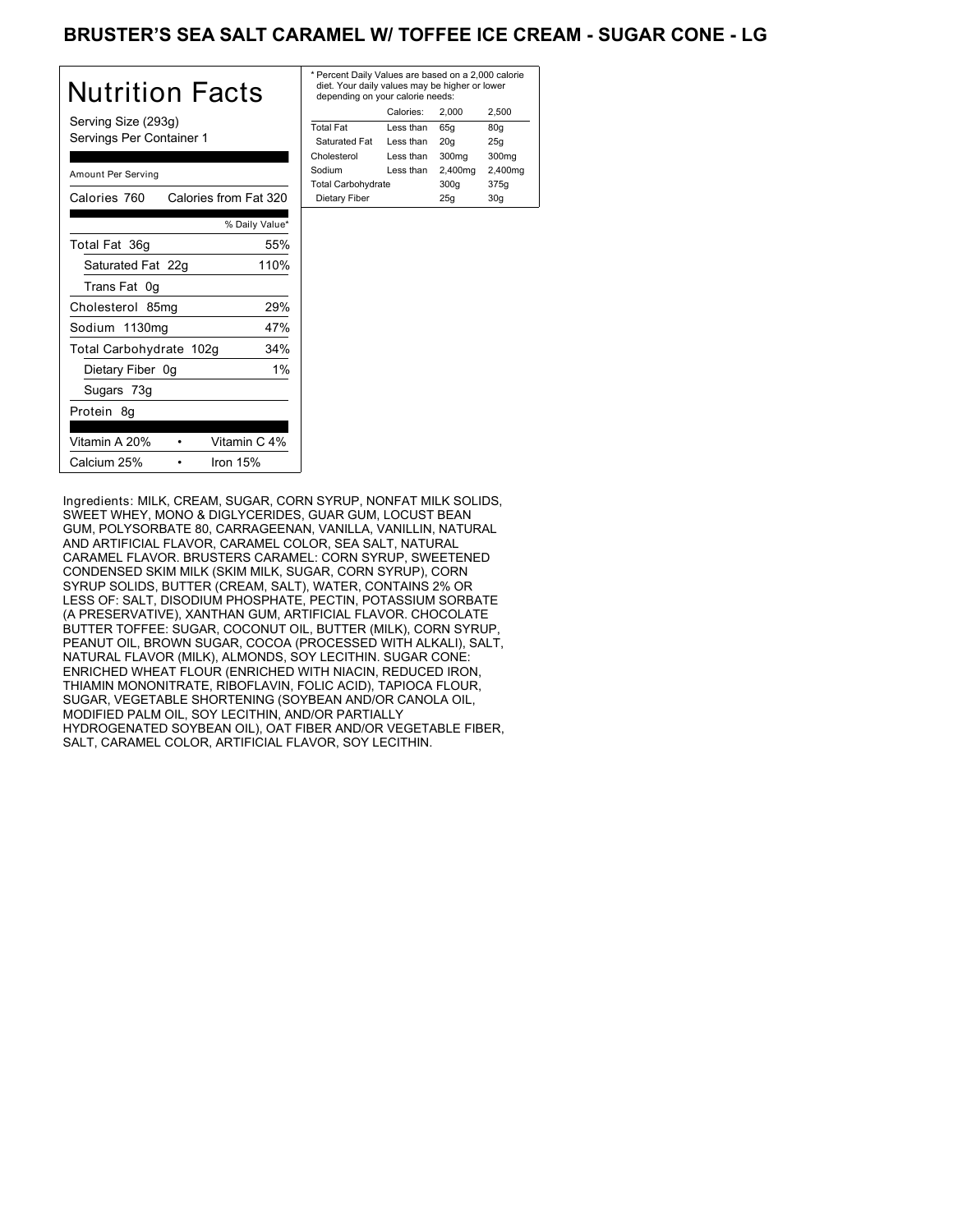### BRUSTER'S SEA SALT CARAMEL W/ TOFFEE ICE CREAM - SUGAR CONE - LG

| <b>Nutrition Facts</b>                          | * F<br>$\epsilon$ |
|-------------------------------------------------|-------------------|
| Serving Size (293g)<br>Servings Per Container 1 | Тc<br>Ś<br>Cł     |
| Amount Per Serving                              | So<br>Тc          |
| Calories 760 Calories from Fat 320              | Г                 |
| % Daily Value*                                  |                   |
| Total Fat 36g<br>55%                            |                   |
| 110%<br>Saturated Fat 22g                       |                   |
| Trans Fat 0g                                    |                   |
| 29%<br>Cholesterol 85mg                         |                   |
| Sodium 1130mg<br>47%                            |                   |
| Total Carbohydrate 102g<br>34%                  |                   |
| $1\%$<br>Dietary Fiber 0g                       |                   |
| Sugars 73g                                      |                   |
| Protein 8g                                      |                   |
| Vitamin C 4%<br>Vitamin A 20%                   |                   |
| Calcium 25%<br>Iron $15%$                       |                   |

| * Percent Daily Values are based on a 2,000 calorie<br>diet. Your daily values may be higher or lower<br>depending on your calorie needs: |           |         |         |  |
|-------------------------------------------------------------------------------------------------------------------------------------------|-----------|---------|---------|--|
|                                                                                                                                           | Calories: | 2.000   | 2.500   |  |
| <b>Total Fat</b>                                                                                                                          | Less than | 65q     | 80q     |  |
| Saturated Fat                                                                                                                             | Less than | 20q     | 25q     |  |
| Cholesterol                                                                                                                               | Less than | 300mg   | 300mg   |  |
| Sodium                                                                                                                                    | Less than | 2,400mg | 2,400mg |  |
| <b>Total Carbohydrate</b>                                                                                                                 |           | 300q    | 375g    |  |
| Dietary Fiber                                                                                                                             |           | 25q     | 30q     |  |
|                                                                                                                                           |           |         |         |  |

Ingredients: MILK, CREAM, SUGAR, CORN SYRUP, NONFAT MILK SOLIDS, SWEET WHEY, MONO & DIGLYCERIDES, GUAR GUM, LOCUST BEAN GUM, POLYSORBATE 80, CARRAGEENAN, VANILLA, VANILLIN, NATURAL AND ARTIFICIAL FLAVOR, CARAMEL COLOR, SEA SALT, NATURAL CARAMEL FLAVOR. BRUSTERS CARAMEL: CORN SYRUP, SWEETENED CONDENSED SKIM MILK (SKIM MILK, SUGAR, CORN SYRUP), CORN SYRUP SOLIDS, BUTTER (CREAM, SALT), WATER, CONTAINS 2% OR LESS OF: SALT, DISODIUM PHOSPHATE, PECTIN, POTASSIUM SORBATE (A PRESERVATIVE), XANTHAN GUM, ARTIFICIAL FLAVOR. CHOCOLATE BUTTER TOFFEE: SUGAR, COCONUT OIL, BUTTER (MILK), CORN SYRUP, PEANUT OIL, BROWN SUGAR, COCOA (PROCESSED WITH ALKALI), SALT, NATURAL FLAVOR (MILK), ALMONDS, SOY LECITHIN. SUGAR CONE: ENRICHED WHEAT FLOUR (ENRICHED WITH NIACIN, REDUCED IRON, THIAMIN MONONITRATE, RIBOFLAVIN, FOLIC ACID), TAPIOCA FLOUR, SUGAR, VEGETABLE SHORTENING (SOYBEAN AND/OR CANOLA OIL, MODIFIED PALM OIL, SOY LECITHIN, AND/OR PARTIALLY HYDROGENATED SOYBEAN OIL), OAT FIBER AND/OR VEGETABLE FIBER, SALT, CARAMEL COLOR, ARTIFICIAL FLAVOR, SOY LECITHIN.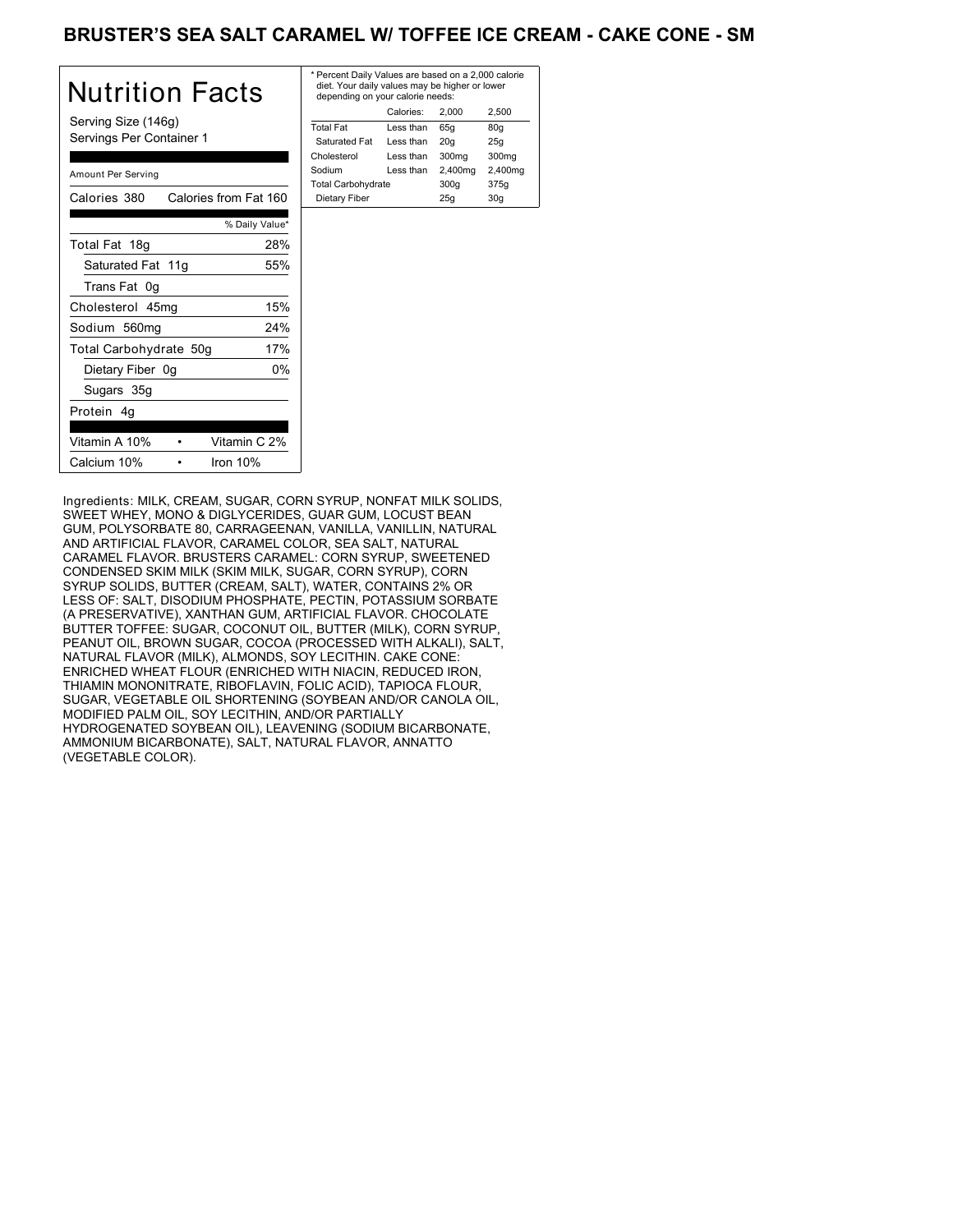### BRUSTER'S SEA SALT CARAMEL W/ TOFFEE ICE CREAM - CAKE CONE - SM

| Nutrition Facts                                 | * P<br>d<br>d |
|-------------------------------------------------|---------------|
| Serving Size (146g)<br>Servings Per Container 1 | To<br>S<br>Ch |
| Amount Per Serving                              | So<br>Τo      |
| Calories 380<br>Calories from Fat 160           | D             |
| % Daily Value*                                  |               |
| Total Fat 18g<br>28%                            |               |
| Saturated Fat 11g<br>55%                        |               |
| Trans Fat 0g                                    |               |
| 15%<br>Cholesterol 45mg                         |               |
| 24%<br>Sodium 560mg                             |               |
| 17%<br>Total Carbohydrate 50g                   |               |
| Dietary Fiber 0g<br>0%                          |               |
| Sugars 35g                                      |               |
| Protein 4g                                      |               |
| Vitamin A 10%<br>Vitamin C 2%                   |               |
| Calcium 10%<br>Iron $10%$                       |               |

| * Percent Daily Values are based on a 2,000 calorie<br>diet. Your daily values may be higher or lower<br>depending on your calorie needs: |           |         |         |  |
|-------------------------------------------------------------------------------------------------------------------------------------------|-----------|---------|---------|--|
|                                                                                                                                           | Calories: | 2.000   | 2.500   |  |
| <b>Total Fat</b>                                                                                                                          | Less than | 65q     | 80q     |  |
| Saturated Fat                                                                                                                             | Less than | 20q     | 25q     |  |
| Cholesterol                                                                                                                               | Less than | 300mg   | 300mg   |  |
| Sodium                                                                                                                                    | Less than | 2,400mg | 2,400mg |  |
| <b>Total Carbohydrate</b>                                                                                                                 |           | 300q    | 375g    |  |
| Dietary Fiber                                                                                                                             |           | 25q     | 30q     |  |
|                                                                                                                                           |           |         |         |  |

Ingredients: MILK, CREAM, SUGAR, CORN SYRUP, NONFAT MILK SOLIDS, SWEET WHEY, MONO & DIGLYCERIDES, GUAR GUM, LOCUST BEAN GUM, POLYSORBATE 80, CARRAGEENAN, VANILLA, VANILLIN, NATURAL AND ARTIFICIAL FLAVOR, CARAMEL COLOR, SEA SALT, NATURAL CARAMEL FLAVOR. BRUSTERS CARAMEL: CORN SYRUP, SWEETENED CONDENSED SKIM MILK (SKIM MILK, SUGAR, CORN SYRUP), CORN SYRUP SOLIDS, BUTTER (CREAM, SALT), WATER, CONTAINS 2% OR LESS OF: SALT, DISODIUM PHOSPHATE, PECTIN, POTASSIUM SORBATE (A PRESERVATIVE), XANTHAN GUM, ARTIFICIAL FLAVOR. CHOCOLATE BUTTER TOFFEE: SUGAR, COCONUT OIL, BUTTER (MILK), CORN SYRUP, PEANUT OIL, BROWN SUGAR, COCOA (PROCESSED WITH ALKALI), SALT, NATURAL FLAVOR (MILK), ALMONDS, SOY LECITHIN. CAKE CONE: ENRICHED WHEAT FLOUR (ENRICHED WITH NIACIN, REDUCED IRON, THIAMIN MONONITRATE, RIBOFLAVIN, FOLIC ACID), TAPIOCA FLOUR, SUGAR, VEGETABLE OIL SHORTENING (SOYBEAN AND/OR CANOLA OIL, MODIFIED PALM OIL, SOY LECITHIN, AND/OR PARTIALLY HYDROGENATED SOYBEAN OIL), LEAVENING (SODIUM BICARBONATE, AMMONIUM BICARBONATE), SALT, NATURAL FLAVOR, ANNATTO (VEGETABLE COLOR).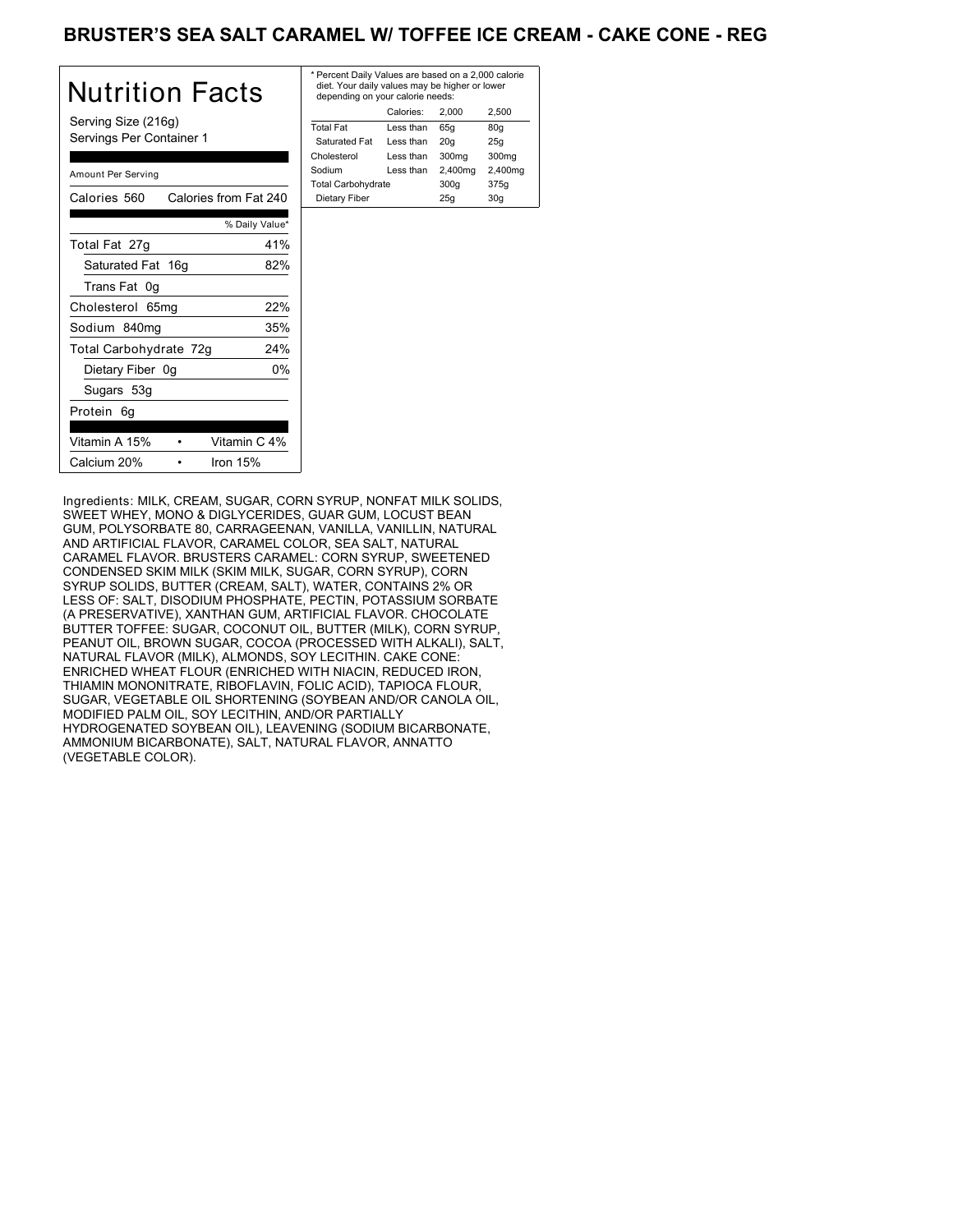### BRUSTER'S SEA SALT CARAMEL W/ TOFFEE ICE CREAM - CAKE CONE - REG

| Nutrition Facts                                 | * P<br>d<br>d |
|-------------------------------------------------|---------------|
| Serving Size (216g)<br>Servings Per Container 1 | To<br>S<br>Ch |
| Amount Per Serving                              | So<br>Τo      |
| Calories 560<br>Calories from Fat 240           | D             |
| % Daily Value*                                  |               |
| 41%<br>Total Fat 27g                            |               |
| Saturated Fat 16g<br>82%                        |               |
| Trans Fat 0g                                    |               |
| 22%<br>Cholesterol 65mg                         |               |
| 35%<br>Sodium 840mg                             |               |
| 24%<br>Total Carbohydrate 72g                   |               |
| Dietary Fiber 0g<br>0%                          |               |
| Sugars 53g                                      |               |
| Protein 6g                                      |               |
| Vitamin C 4%<br>Vitamin A 15%                   |               |
| Calcium 20%<br>Iron $15%$                       |               |

| * Percent Daily Values are based on a 2,000 calorie<br>diet. Your daily values may be higher or lower<br>depending on your calorie needs: |           |                   |         |
|-------------------------------------------------------------------------------------------------------------------------------------------|-----------|-------------------|---------|
|                                                                                                                                           | Calories: | 2.000             | 2.500   |
| <b>Total Fat</b>                                                                                                                          | Less than | 65q               | 80q     |
| Saturated Fat                                                                                                                             | Less than | 20q               | 25q     |
| Cholesterol                                                                                                                               | Less than | 300 <sub>mg</sub> | 300mg   |
| Sodium                                                                                                                                    | Less than | 2,400mg           | 2,400mg |
| <b>Total Carbohydrate</b>                                                                                                                 |           | 300q              | 375g    |
| Dietary Fiber                                                                                                                             |           | 25q               | 30q     |
|                                                                                                                                           |           |                   |         |

Ingredients: MILK, CREAM, SUGAR, CORN SYRUP, NONFAT MILK SOLIDS, SWEET WHEY, MONO & DIGLYCERIDES, GUAR GUM, LOCUST BEAN GUM, POLYSORBATE 80, CARRAGEENAN, VANILLA, VANILLIN, NATURAL AND ARTIFICIAL FLAVOR, CARAMEL COLOR, SEA SALT, NATURAL CARAMEL FLAVOR. BRUSTERS CARAMEL: CORN SYRUP, SWEETENED CONDENSED SKIM MILK (SKIM MILK, SUGAR, CORN SYRUP), CORN SYRUP SOLIDS, BUTTER (CREAM, SALT), WATER, CONTAINS 2% OR LESS OF: SALT, DISODIUM PHOSPHATE, PECTIN, POTASSIUM SORBATE (A PRESERVATIVE), XANTHAN GUM, ARTIFICIAL FLAVOR. CHOCOLATE BUTTER TOFFEE: SUGAR, COCONUT OIL, BUTTER (MILK), CORN SYRUP, PEANUT OIL, BROWN SUGAR, COCOA (PROCESSED WITH ALKALI), SALT, NATURAL FLAVOR (MILK), ALMONDS, SOY LECITHIN. CAKE CONE: ENRICHED WHEAT FLOUR (ENRICHED WITH NIACIN, REDUCED IRON, THIAMIN MONONITRATE, RIBOFLAVIN, FOLIC ACID), TAPIOCA FLOUR, SUGAR, VEGETABLE OIL SHORTENING (SOYBEAN AND/OR CANOLA OIL, MODIFIED PALM OIL, SOY LECITHIN, AND/OR PARTIALLY HYDROGENATED SOYBEAN OIL), LEAVENING (SODIUM BICARBONATE, AMMONIUM BICARBONATE), SALT, NATURAL FLAVOR, ANNATTO (VEGETABLE COLOR).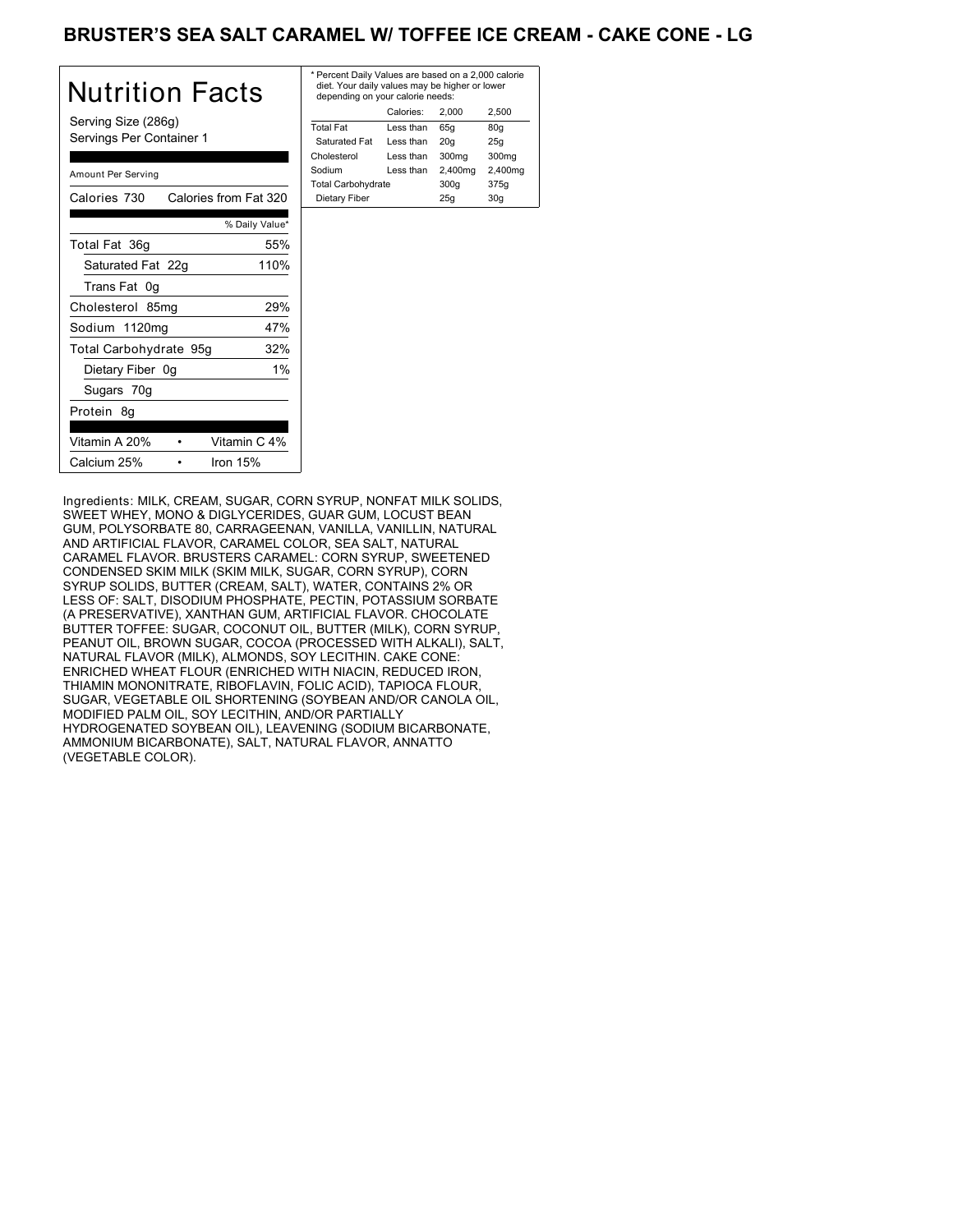### BRUSTER'S SEA SALT CARAMEL W/ TOFFEE ICE CREAM - CAKE CONE - LG

| Nutrition Facts                                 | * F<br>$\epsilon$ |
|-------------------------------------------------|-------------------|
| Serving Size (286g)<br>Servings Per Container 1 | Тc<br>Ś<br>Cł     |
| Amount Per Serving                              | Sc<br>Тc          |
| Calories 730<br>Calories from Fat 320           | Г                 |
| % Daily Value*                                  |                   |
| Total Fat 36g<br>55%                            |                   |
| 110%<br>Saturated Fat 22g                       |                   |
| Trans Fat 0g                                    |                   |
| 29%<br>Cholesterol 85mg                         |                   |
| 47%<br>Sodium 1120mg                            |                   |
| 32%<br>Total Carbohydrate 95g                   |                   |
| Dietary Fiber 0g<br>$1\%$                       |                   |
| Sugars 70g                                      |                   |
| Protein 8g                                      |                   |
| Vitamin C 4%<br>Vitamin A 20%                   |                   |
| Calcium 25%<br>Iron $15%$                       |                   |

| * Percent Daily Values are based on a 2,000 calorie<br>diet. Your daily values may be higher or lower<br>depending on your calorie needs: |           |         |         |
|-------------------------------------------------------------------------------------------------------------------------------------------|-----------|---------|---------|
|                                                                                                                                           | Calories: | 2.000   | 2.500   |
| <b>Total Fat</b>                                                                                                                          | Less than | 65q     | 80q     |
| Saturated Fat                                                                                                                             | Less than | 20q     | 25q     |
| Cholesterol                                                                                                                               | Less than | 300mg   | 300mg   |
| Sodium                                                                                                                                    | Less than | 2,400mg | 2,400mg |
| <b>Total Carbohydrate</b>                                                                                                                 |           | 300q    | 375g    |
| Dietary Fiber                                                                                                                             |           | 25q     | 30q     |

Ingredients: MILK, CREAM, SUGAR, CORN SYRUP, NONFAT MILK SOLIDS, SWEET WHEY, MONO & DIGLYCERIDES, GUAR GUM, LOCUST BEAN GUM, POLYSORBATE 80, CARRAGEENAN, VANILLA, VANILLIN, NATURAL AND ARTIFICIAL FLAVOR, CARAMEL COLOR, SEA SALT, NATURAL CARAMEL FLAVOR. BRUSTERS CARAMEL: CORN SYRUP, SWEETENED CONDENSED SKIM MILK (SKIM MILK, SUGAR, CORN SYRUP), CORN SYRUP SOLIDS, BUTTER (CREAM, SALT), WATER, CONTAINS 2% OR LESS OF: SALT, DISODIUM PHOSPHATE, PECTIN, POTASSIUM SORBATE (A PRESERVATIVE), XANTHAN GUM, ARTIFICIAL FLAVOR. CHOCOLATE BUTTER TOFFEE: SUGAR, COCONUT OIL, BUTTER (MILK), CORN SYRUP, PEANUT OIL, BROWN SUGAR, COCOA (PROCESSED WITH ALKALI), SALT, NATURAL FLAVOR (MILK), ALMONDS, SOY LECITHIN. CAKE CONE: ENRICHED WHEAT FLOUR (ENRICHED WITH NIACIN, REDUCED IRON, THIAMIN MONONITRATE, RIBOFLAVIN, FOLIC ACID), TAPIOCA FLOUR, SUGAR, VEGETABLE OIL SHORTENING (SOYBEAN AND/OR CANOLA OIL, MODIFIED PALM OIL, SOY LECITHIN, AND/OR PARTIALLY HYDROGENATED SOYBEAN OIL), LEAVENING (SODIUM BICARBONATE, AMMONIUM BICARBONATE), SALT, NATURAL FLAVOR, ANNATTO (VEGETABLE COLOR).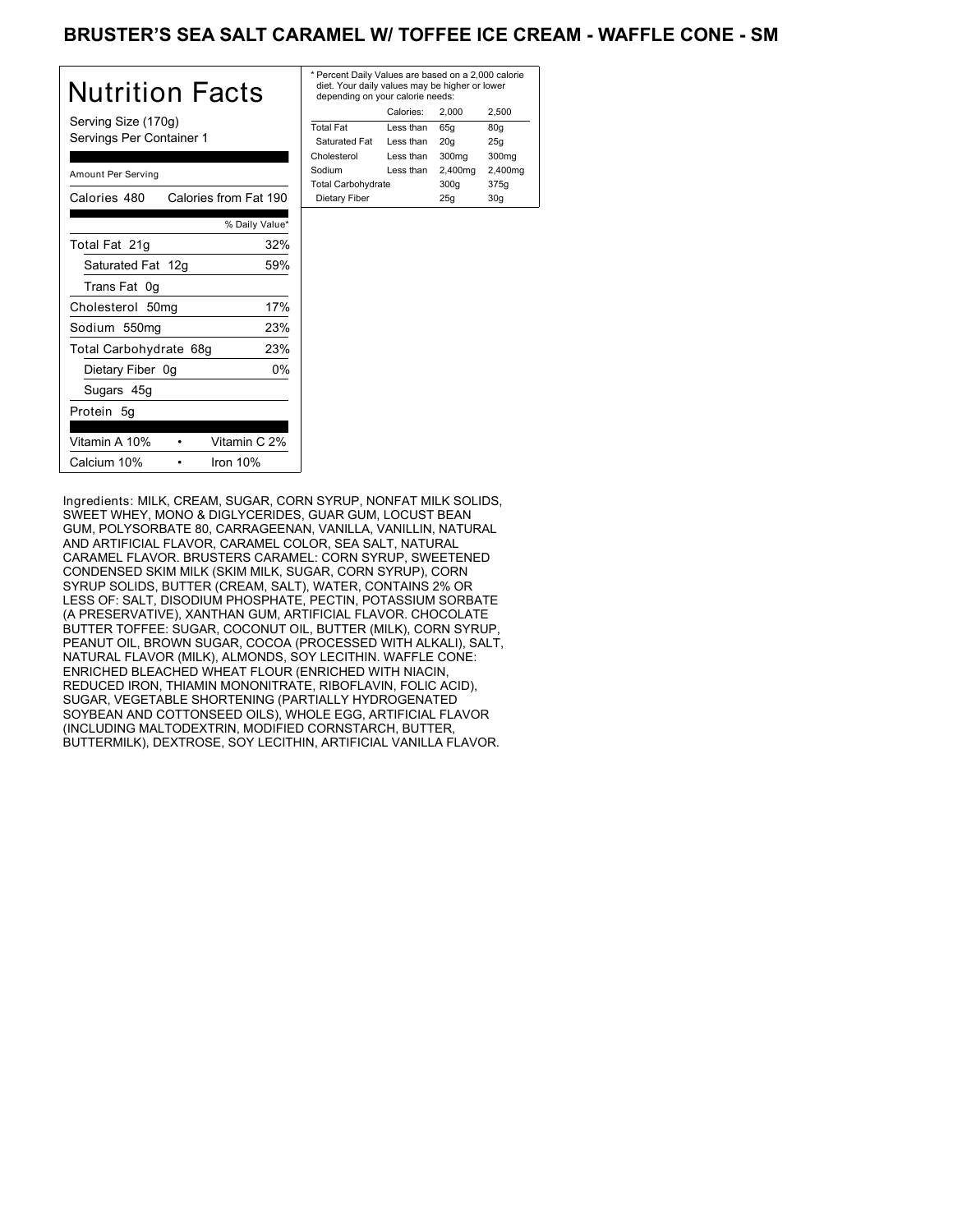#### BRUSTER'S SEA SALT CARAMEL W/ TOFFEE ICE CREAM - WAFFLE CONE - SM

| Nutrition Facts                                 | * Pe<br>die<br>de |
|-------------------------------------------------|-------------------|
| Serving Size (170g)<br>Servings Per Container 1 | Tota<br>Sa<br>Cho |
| Amount Per Serving                              | Sod<br>Tota       |
| Calories from Fat 190<br>Calories 480           | D <sub>i</sub>    |
| % Daily Value*                                  |                   |
| Total Fat 21g<br>32%                            |                   |
| Saturated Fat 12g<br>59%                        |                   |
| Trans Fat 0g                                    |                   |
| 17%<br>Cholesterol 50mg                         |                   |
| 23%<br>Sodium 550mg                             |                   |
| Total Carbohydrate 68g<br>23%                   |                   |
| 0%<br>Dietary Fiber 0g                          |                   |
| Sugars 45g                                      |                   |
| Protein 5q                                      |                   |
| Vitamin A 10%<br>Vitamin C 2%                   |                   |
| Calcium 10%<br>Iron $10%$                       |                   |

| * Percent Daily Values are based on a 2,000 calorie<br>diet. Your daily values may be higher or lower<br>depending on your calorie needs: |           |         |                   |
|-------------------------------------------------------------------------------------------------------------------------------------------|-----------|---------|-------------------|
|                                                                                                                                           | Calories: | 2.000   | 2.500             |
| <b>Total Fat</b>                                                                                                                          | Less than | 65q     | 80q               |
| Saturated Fat                                                                                                                             | Less than | 20q     | 25q               |
| Cholesterol                                                                                                                               | Less than | 300mg   | 300 <sub>mq</sub> |
| Sodium                                                                                                                                    | Less than | 2,400mg | 2,400mg           |
| <b>Total Carbohydrate</b>                                                                                                                 |           | 300q    | 375g              |
| Dietary Fiber                                                                                                                             |           | 25q     | 30q               |
|                                                                                                                                           |           |         |                   |

Ingredients: MILK, CREAM, SUGAR, CORN SYRUP, NONFAT MILK SOLIDS, SWEET WHEY, MONO & DIGLYCERIDES, GUAR GUM, LOCUST BEAN GUM, POLYSORBATE 80, CARRAGEENAN, VANILLA, VANILLIN, NATURAL AND ARTIFICIAL FLAVOR, CARAMEL COLOR, SEA SALT, NATURAL CARAMEL FLAVOR. BRUSTERS CARAMEL: CORN SYRUP, SWEETENED CONDENSED SKIM MILK (SKIM MILK, SUGAR, CORN SYRUP), CORN SYRUP SOLIDS, BUTTER (CREAM, SALT), WATER, CONTAINS 2% OR LESS OF: SALT, DISODIUM PHOSPHATE, PECTIN, POTASSIUM SORBATE (A PRESERVATIVE), XANTHAN GUM, ARTIFICIAL FLAVOR. CHOCOLATE BUTTER TOFFEE: SUGAR, COCONUT OIL, BUTTER (MILK), CORN SYRUP, PEANUT OIL, BROWN SUGAR, COCOA (PROCESSED WITH ALKALI), SALT, NATURAL FLAVOR (MILK), ALMONDS, SOY LECITHIN. WAFFLE CONE: ENRICHED BLEACHED WHEAT FLOUR (ENRICHED WITH NIACIN, REDUCED IRON, THIAMIN MONONITRATE, RIBOFLAVIN, FOLIC ACID), SUGAR, VEGETABLE SHORTENING (PARTIALLY HYDROGENATED SOYBEAN AND COTTONSEED OILS), WHOLE EGG, ARTIFICIAL FLAVOR (INCLUDING MALTODEXTRIN, MODIFIED CORNSTARCH, BUTTER, BUTTERMILK), DEXTROSE, SOY LECITHIN, ARTIFICIAL VANILLA FLAVOR.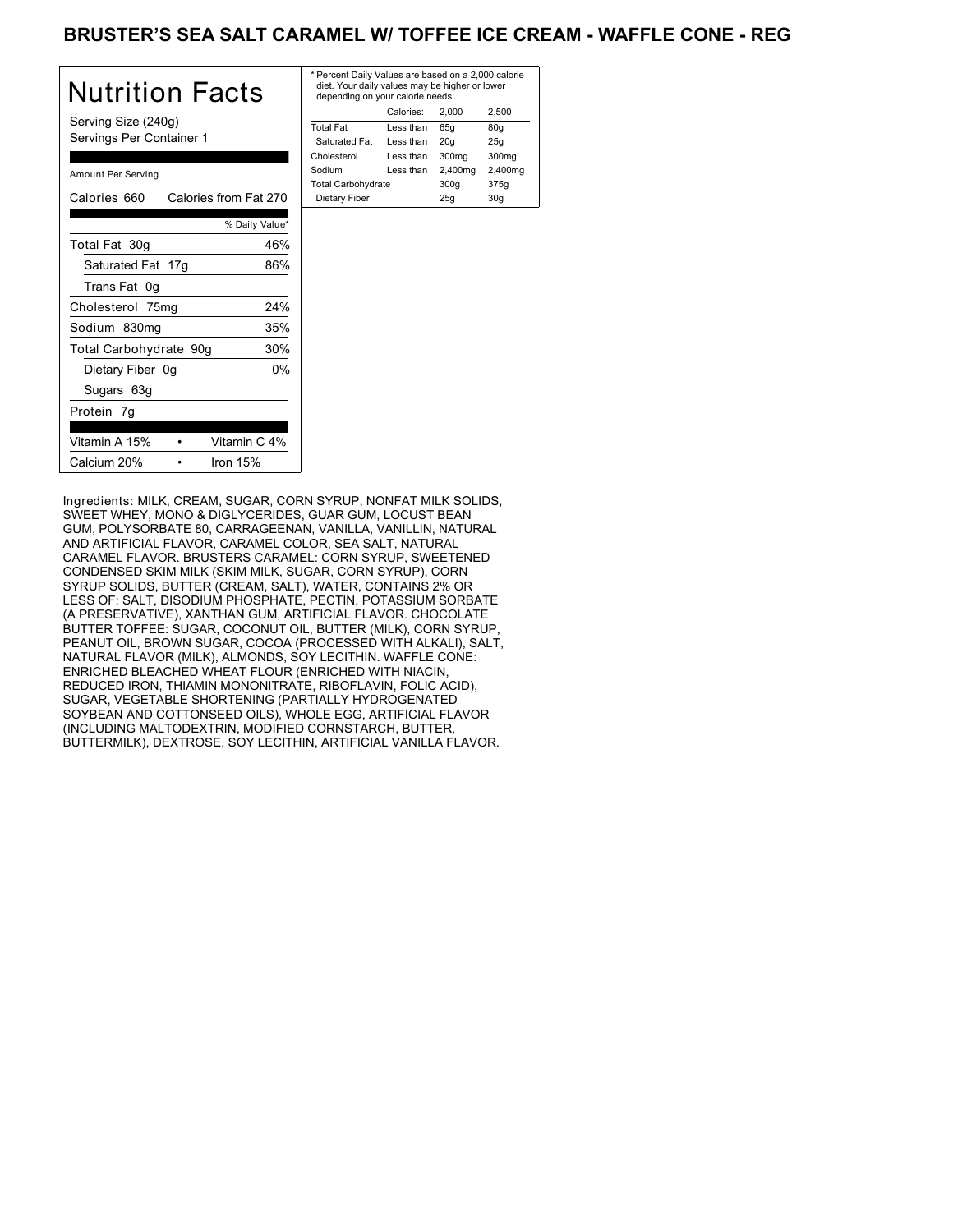### BRUSTER'S SEA SALT CARAMEL W/ TOFFEE ICE CREAM - WAFFLE CONE - REG

| Nutrition Facts                                 | * P<br>d<br>d |
|-------------------------------------------------|---------------|
| Serving Size (240g)<br>Servings Per Container 1 | Tσ<br>S<br>Ch |
| Amount Per Serving                              | So<br>To      |
| Calories 660 Calories from Fat 270              | D             |
| % Daily Value*                                  |               |
| Total Fat 30g<br>46%                            |               |
| Saturated Fat 17g<br>86%                        |               |
| Trans Fat 0g                                    |               |
| 24%<br>Cholesterol 75mg                         |               |
| 35%<br>Sodium 830mg                             |               |
| 30%<br>Total Carbohydrate 90g                   |               |
| 0%<br>Dietary Fiber 0g                          |               |
| Sugars 63g                                      |               |
| Protein 7g                                      |               |
| Vitamin A 15%<br>Vitamin C 4%                   |               |
| Calcium 20%<br>Iron $15%$                       |               |

| * Percent Daily Values are based on a 2,000 calorie<br>diet. Your daily values may be higher or lower<br>depending on your calorie needs: |         |                   |  |
|-------------------------------------------------------------------------------------------------------------------------------------------|---------|-------------------|--|
| Calories:                                                                                                                                 | 2.000   | 2.500             |  |
| Less than                                                                                                                                 | 65q     | 80q               |  |
| Less than                                                                                                                                 | 20q     | 25q               |  |
| Less than                                                                                                                                 | 300mg   | 300 <sub>mq</sub> |  |
| Less than                                                                                                                                 | 2,400mg | 2,400mg           |  |
| <b>Total Carbohydrate</b>                                                                                                                 |         | 375g              |  |
|                                                                                                                                           | 25q     | 30q               |  |
|                                                                                                                                           |         | 300q              |  |

Ingredients: MILK, CREAM, SUGAR, CORN SYRUP, NONFAT MILK SOLIDS, SWEET WHEY, MONO & DIGLYCERIDES, GUAR GUM, LOCUST BEAN GUM, POLYSORBATE 80, CARRAGEENAN, VANILLA, VANILLIN, NATURAL AND ARTIFICIAL FLAVOR, CARAMEL COLOR, SEA SALT, NATURAL CARAMEL FLAVOR. BRUSTERS CARAMEL: CORN SYRUP, SWEETENED CONDENSED SKIM MILK (SKIM MILK, SUGAR, CORN SYRUP), CORN SYRUP SOLIDS, BUTTER (CREAM, SALT), WATER, CONTAINS 2% OR LESS OF: SALT, DISODIUM PHOSPHATE, PECTIN, POTASSIUM SORBATE (A PRESERVATIVE), XANTHAN GUM, ARTIFICIAL FLAVOR. CHOCOLATE BUTTER TOFFEE: SUGAR, COCONUT OIL, BUTTER (MILK), CORN SYRUP, PEANUT OIL, BROWN SUGAR, COCOA (PROCESSED WITH ALKALI), SALT, NATURAL FLAVOR (MILK), ALMONDS, SOY LECITHIN. WAFFLE CONE: ENRICHED BLEACHED WHEAT FLOUR (ENRICHED WITH NIACIN, REDUCED IRON, THIAMIN MONONITRATE, RIBOFLAVIN, FOLIC ACID), SUGAR, VEGETABLE SHORTENING (PARTIALLY HYDROGENATED SOYBEAN AND COTTONSEED OILS), WHOLE EGG, ARTIFICIAL FLAVOR (INCLUDING MALTODEXTRIN, MODIFIED CORNSTARCH, BUTTER, BUTTERMILK), DEXTROSE, SOY LECITHIN, ARTIFICIAL VANILLA FLAVOR.